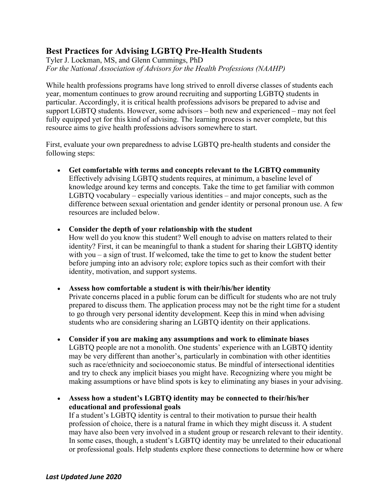# **Best Practices for Advising LGBTQ Pre-Health Students**

Tyler J. Lockman, MS, and Glenn Cummings, PhD *For the National Association of Advisors for the Health Professions (NAAHP)*

While health professions programs have long strived to enroll diverse classes of students each year, momentum continues to grow around recruiting and supporting LGBTQ students in particular. Accordingly, it is critical health professions advisors be prepared to advise and support LGBTQ students. However, some advisors – both new and experienced – may not feel fully equipped yet for this kind of advising. The learning process is never complete, but this resource aims to give health professions advisors somewhere to start.

First, evaluate your own preparedness to advise LGBTQ pre-health students and consider the following steps:

- **Get comfortable with terms and concepts relevant to the LGBTQ community** Effectively advising LGBTQ students requires, at minimum, a baseline level of knowledge around key terms and concepts. Take the time to get familiar with common LGBTQ vocabulary – especially various identities – and major concepts, such as the difference between sexual orientation and gender identity or personal pronoun use. A few resources are included below.
- **Consider the depth of your relationship with the student**

How well do you know this student? Well enough to advise on matters related to their identity? First, it can be meaningful to thank a student for sharing their LGBTQ identity with you – a sign of trust. If welcomed, take the time to get to know the student better before jumping into an advisory role; explore topics such as their comfort with their identity, motivation, and support systems.

• **Assess how comfortable a student is with their/his/her identity**

Private concerns placed in a public forum can be difficult for students who are not truly prepared to discuss them. The application process may not be the right time for a student to go through very personal identity development. Keep this in mind when advising students who are considering sharing an LGBTQ identity on their applications.

- **Consider if you are making any assumptions and work to eliminate biases** LGBTQ people are not a monolith. One students' experience with an LGBTQ identity may be very different than another's, particularly in combination with other identities such as race/ethnicity and socioeconomic status. Be mindful of intersectional identities and try to check any implicit biases you might have. Recognizing where you might be making assumptions or have blind spots is key to eliminating any biases in your advising.
- **Assess how a student's LGBTQ identity may be connected to their/his/her educational and professional goals**

If a student's LGBTQ identity is central to their motivation to pursue their health profession of choice, there is a natural frame in which they might discuss it. A student may have also been very involved in a student group or research relevant to their identity. In some cases, though, a student's LGBTQ identity may be unrelated to their educational or professional goals. Help students explore these connections to determine how or where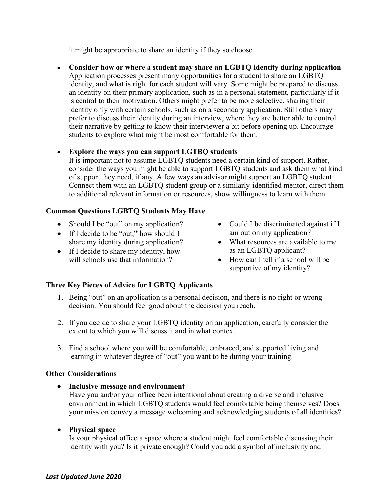it might be appropriate to share an identity if they so choose.

• **Consider how or where a student may share an LGBTQ identity during application** Application processes present many opportunities for a student to share an LGBTQ identity, and what is right for each student will vary. Some might be prepared to discuss an identity on their primary application, such as in a personal statement, particularly if it is central to their motivation. Others might prefer to be more selective, sharing their identity only with certain schools, such as on a secondary application. Still others may prefer to discuss their identity during an interview, where they are better able to control their narrative by getting to know their interviewer a bit before opening up. Encourage students to explore what might be most comfortable for them.

# • **Explore the ways you can support LGTBQ students**

It is important not to assume LGBTQ students need a certain kind of support. Rather, consider the ways you might be able to support LGBTQ students and ask them what kind of support they need, if any. A few ways an advisor might support an LGBTQ student: Connect them with an LGBTQ student group or a similarly-identified mentor, direct them to additional relevant information or resources, show willingness to learn with them.

#### **Common Questions LGBTQ Students May Have**

- Should I be "out" on my application?
- If I decide to be "out," how should I share my identity during application?
- If I decide to share my identity, how will schools use that information?
- Could I be discriminated against if I am out on my application?
- What resources are available to me as an LGBTQ applicant?
- How can I tell if a school will be supportive of my identity?

# **Three Key Pieces of Advice for LGBTQ Applicants**

- 1. Being "out" on an application is a personal decision, and there is no right or wrong decision. You should feel good about the decision you reach.
- 2. If you decide to share your LGBTQ identity on an application, carefully consider the extent to which you will discuss it and in what context.
- 3. Find a school where you will be comfortable, embraced, and supported living and learning in whatever degree of "out" you want to be during your training.

# **Other Considerations**

• **Inclusive message and environment** Have you and/or your office been intentional about creating a diverse and inclusive environment in which LGBTQ students would feel comfortable being themselves? Does your mission convey a message welcoming and acknowledging students of all identities?

# • **Physical space**

Is your physical office a space where a student might feel comfortable discussing their identity with you? Is it private enough? Could you add a symbol of inclusivity and